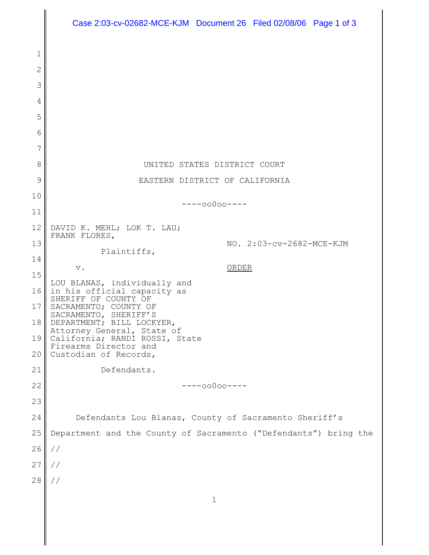|          | Case 2:03-cv-02682-MCE-KJM Document 26 Filed 02/08/06 Page 1 of 3            |
|----------|------------------------------------------------------------------------------|
|          |                                                                              |
| 1        |                                                                              |
| 2<br>3   |                                                                              |
| 4        |                                                                              |
| 5        |                                                                              |
| 6        |                                                                              |
| 7        |                                                                              |
| 8        | UNITED STATES DISTRICT COURT                                                 |
| 9        | EASTERN DISTRICT OF CALIFORNIA                                               |
| 10       | $---00000---$                                                                |
| 11       |                                                                              |
| 12       | DAVID K. MEHL; LOK T. LAU;<br>FRANK FLORES,                                  |
| 13       | NO. 2:03-cv-2682-MCE-KJM<br>Plaintiffs,                                      |
| 14       | ORDER<br>$\mathbf v$ .                                                       |
| 15<br>16 | LOU BLANAS, individually and                                                 |
| 17       | in his official capacity as<br>SHERIFF OF COUNTY OF<br>SACRAMENTO; COUNTY OF |
| 18       | SACRAMENTO, SHERIFF'S<br>DEPARTMENT; BILL LOCKYER,                           |
| 19       | Attorney General, State of<br>California; RANDI ROSSI, State                 |
| 20       | Firearms Director and<br>Custodian of Records,                               |
| 21       | Defendants.                                                                  |
| 22       | $---00000---$                                                                |
| 23       |                                                                              |
| 24       | Defendants Lou Blanas, County of Sacramento Sheriff's                        |
| 25       | Department and the County of Sacramento ("Defendants") bring the             |
| 26       | $\frac{1}{2}$                                                                |
| 27       | $\frac{1}{2}$                                                                |
| 28       | $\frac{1}{2}$                                                                |
|          | $\mathbf{1}$                                                                 |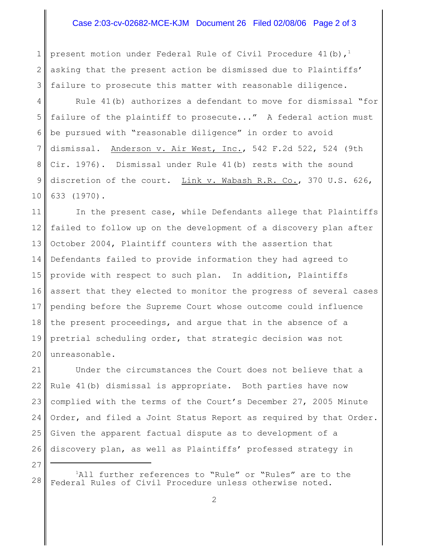## Case 2:03-cv-02682-MCE-KJM Document 26 Filed 02/08/06 Page 2 of 3

1 2 3 present motion under Federal Rule of Civil Procedure 41(b),<sup>1</sup> asking that the present action be dismissed due to Plaintiffs' failure to prosecute this matter with reasonable diligence.

4 5 6 7 8 9 10 Rule 41(b) authorizes a defendant to move for dismissal "for failure of the plaintiff to prosecute..." A federal action must be pursued with "reasonable diligence" in order to avoid dismissal. Anderson v. Air West, Inc., 542 F.2d 522, 524 (9th Cir. 1976). Dismissal under Rule 41(b) rests with the sound discretion of the court. Link v. Wabash R.R. Co., 370 U.S. 626, 633 (1970).

11 12 13 14 15 16 17 18 19 20 In the present case, while Defendants allege that Plaintiffs failed to follow up on the development of a discovery plan after October 2004, Plaintiff counters with the assertion that Defendants failed to provide information they had agreed to provide with respect to such plan. In addition, Plaintiffs assert that they elected to monitor the progress of several cases pending before the Supreme Court whose outcome could influence the present proceedings, and argue that in the absence of a pretrial scheduling order, that strategic decision was not unreasonable.

21 22 23 24 25 26 Under the circumstances the Court does not believe that a Rule 41(b) dismissal is appropriate. Both parties have now complied with the terms of the Court's December 27, 2005 Minute Order, and filed a Joint Status Report as required by that Order. Given the apparent factual dispute as to development of a discovery plan, as well as Plaintiffs' professed strategy in

28  ${}^{1}$ All further references to "Rule" or "Rules" are to the Federal Rules of Civil Procedure unless otherwise noted.

27